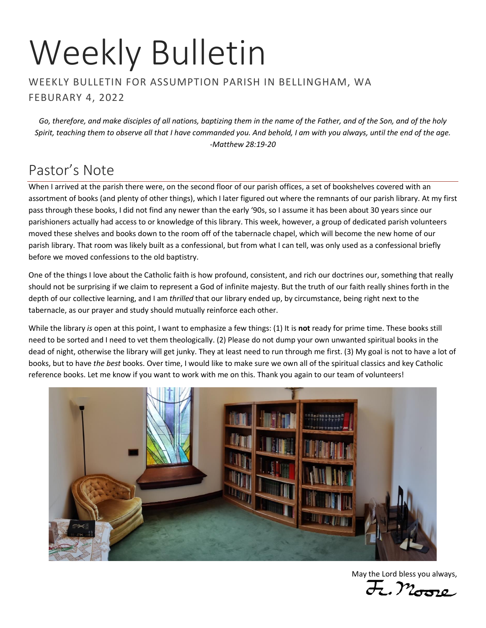# Weekly Bulletin

#### WEEKLY BULLETIN FOR ASSUMPTION PARISH IN BELLINGHAM, WA FEBURARY 4, 2022

*Go, therefore, and make disciples of all nations, baptizing them in the name of the Father, and of the Son, and of the holy Spirit, teaching them to observe all that I have commanded you. And behold, I am with you always, until the end of the age. -Matthew 28:19-20*

# Pastor's Note

When I arrived at the parish there were, on the second floor of our parish offices, a set of bookshelves covered with an assortment of books (and plenty of other things), which I later figured out where the remnants of our parish library. At my first pass through these books, I did not find any newer than the early '90s, so I assume it has been about 30 years since our parishioners actually had access to or knowledge of this library. This week, however, a group of dedicated parish volunteers moved these shelves and books down to the room off of the tabernacle chapel, which will become the new home of our parish library. That room was likely built as a confessional, but from what I can tell, was only used as a confessional briefly before we moved confessions to the old baptistry.

One of the things I love about the Catholic faith is how profound, consistent, and rich our doctrines our, something that really should not be surprising if we claim to represent a God of infinite majesty. But the truth of our faith really shines forth in the depth of our collective learning, and I am *thrilled* that our library ended up, by circumstance, being right next to the tabernacle, as our prayer and study should mutually reinforce each other.

While the library *is* open at this point, I want to emphasize a few things: (1) It is **not** ready for prime time. These books still need to be sorted and I need to vet them theologically. (2) Please do not dump your own unwanted spiritual books in the dead of night, otherwise the library will get junky. They at least need to run through me first. (3) My goal is not to have a lot of books, but to have *the best* books. Over time, I would like to make sure we own all of the spiritual classics and key Catholic reference books. Let me know if you want to work with me on this. Thank you again to our team of volunteers!



May the Lord bless you always,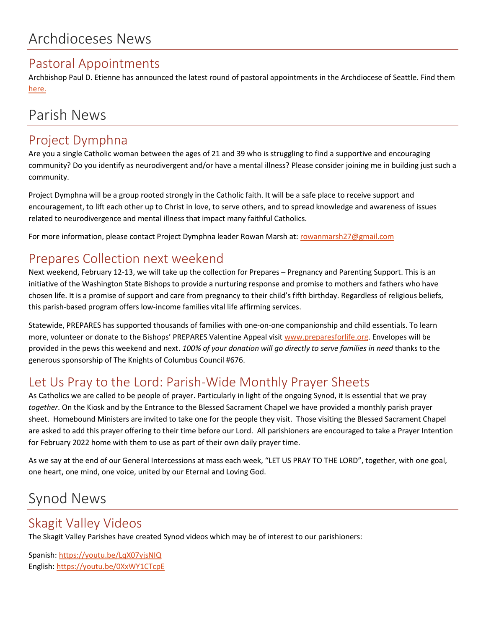#### Pastoral Appointments

Archbishop Paul D. Etienne has announced the latest round of pastoral appointments in the Archdiocese of Seattle. Find them [here.](https://seattlearch.app.box.com/s/n09escypw9sqino0ukd0gw4kirg3cixg)

# Parish News

### Project Dymphna

Are you a single Catholic woman between the ages of 21 and 39 who is struggling to find a supportive and encouraging community? Do you identify as neurodivergent and/or have a mental illness? Please consider joining me in building just such a community.

Project Dymphna will be a group rooted strongly in the Catholic faith. It will be a safe place to receive support and encouragement, to lift each other up to Christ in love, to serve others, and to spread knowledge and awareness of issues related to neurodivergence and mental illness that impact many faithful Catholics.

For more information, please contact Project Dymphna leader Rowan Marsh at: [rowanmarsh27@gmail.com](mailto:rowanmarsh27@gmail.com)

## Prepares Collection next weekend

Next weekend, February 12-13, we will take up the collection for Prepares – Pregnancy and Parenting Support. This is an initiative of the Washington State Bishops to provide a nurturing response and promise to mothers and fathers who have chosen life. It is a promise of support and care from pregnancy to their child's fifth birthday. Regardless of religious beliefs, this parish-based program offers low-income families vital life affirming services.

Statewide, PREPARES has supported thousands of families with one-on-one companionship and child essentials. To learn more, volunteer or donate to the Bishops' PREPARES Valentine Appeal visit [www.preparesforlife.org.](http://www.preparesforlife.org/) Envelopes will be provided in the pews this weekend and next. *100% of your donation will go directly to serve families in need* thanks to the generous sponsorship of The Knights of Columbus Council #676.

# Let Us Pray to the Lord: Parish-Wide Monthly Prayer Sheets

As Catholics we are called to be people of prayer. Particularly in light of the ongoing Synod, it is essential that we pray *together*. On the Kiosk and by the Entrance to the Blessed Sacrament Chapel we have provided a monthly parish prayer sheet. Homebound Ministers are invited to take one for the people they visit. Those visiting the Blessed Sacrament Chapel are asked to add this prayer offering to their time before our Lord. All parishioners are encouraged to take a Prayer Intention for February 2022 home with them to use as part of their own daily prayer time.

As we say at the end of our General Intercessions at mass each week, "LET US PRAY TO THE LORD", together, with one goal, one heart, one mind, one voice, united by our Eternal and Loving God.

# Synod News

## Skagit Valley Videos

The Skagit Valley Parishes have created Synod videos which may be of interest to our parishioners:

Spanish:<https://youtu.be/LqX07yjsNIQ> English: [https://youtu.be/0XxWY1CTcpE](https://na01.safelinks.protection.outlook.com/?url=https%3A%2F%2Fyoutu.be%2F0XxWY1CTcpE&data=04%7C01%7C%7C21b4517a64e944a27cde08d9e42afd9f%7C84df9e7fe9f640afb435aaaaaaaaaaaa%7C1%7C0%7C637791695566801075%7CUnknown%7CTWFpbGZsb3d8eyJWIjoiMC4wLjAwMDAiLCJQIjoiV2luMzIiLCJBTiI6Ik1haWwiLCJXVCI6Mn0%3D%7C3000&sdata=utrq8MaZXs7mW82I388aWfAat4Cwncf9Mpz4q%2B2yUq8%3D&reserved=0)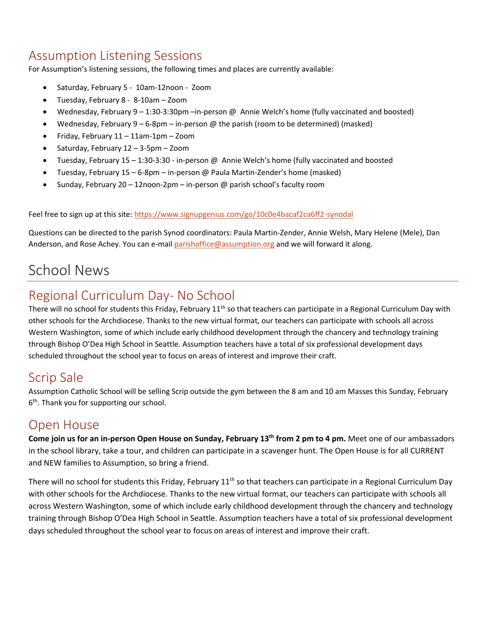## Assumption Listening Sessions

For Assumption's listening sessions, the following times and places are currently available:

- Saturday, February 5 10am-12noon Zoom
- Tuesday, February 8 8-10am Zoom
- Wednesday, February 9 1:30-3:30pm –in-person @ Annie Welch's home (fully vaccinated and boosted)
- Wednesday, February 9 6-8pm in-person  $\omega$  the parish (room to be determined) (masked)
- Friday, February 11 11am-1pm Zoom
- Saturday, February 12 3-5pm Zoom
- Tuesday, February 15 1:30-3:30 in-person @ Annie Welch's home (fully vaccinated and boosted
- Tuesday, February 15 6-8pm in-person @ Paula Martin-Zender's home (masked)
- Sunday, February 20 12noon-2pm in-person @ parish school's faculty room

Feel free to sign up at this site:<https://www.signupgenius.com/go/10c0e4bacaf2ca6ff2-synodal>

Questions can be directed to the parish Synod coordinators: Paula Martin-Zender, Annie Welsh, Mary Helene (Mele), Dan Anderson, and Rose Achey. You can e-mai[l parishoffice@assumption.org](mailto:parishoffice@assumption.org) and we will forward it along.

# School News

## Regional Curriculum Day- No School

There will no school for students this Friday, February 11<sup>th</sup> so that teachers can participate in a Regional Curriculum Day with other schools for the Archdiocese. Thanks to the new virtual format, our teachers can participate with schools all across Western Washington, some of which include early childhood development through the chancery and technology training through Bishop O'Dea High School in Seattle. Assumption teachers have a total of six professional development days scheduled throughout the school year to focus on areas of interest and improve their craft.

#### Scrip Sale

Assumption Catholic School will be selling Scrip outside the gym between the 8 am and 10 am Masses this Sunday, February 6<sup>th</sup>. Thank you for supporting our school.

#### Open House

**Come join us for an in-person Open House on Sunday, February 13th from 2 pm to 4 pm.** Meet one of our ambassadors in the school library, take a tour, and children can participate in a scavenger hunt. The Open House is for all CURRENT and NEW families to Assumption, so bring a friend.

There will no school for students this Friday, February  $11<sup>th</sup>$  so that teachers can participate in a Regional Curriculum Day with other schools for the Archdiocese. Thanks to the new virtual format, our teachers can participate with schools all across Western Washington, some of which include early childhood development through the chancery and technology training through Bishop O'Dea High School in Seattle. Assumption teachers have a total of six professional development days scheduled throughout the school year to focus on areas of interest and improve their craft.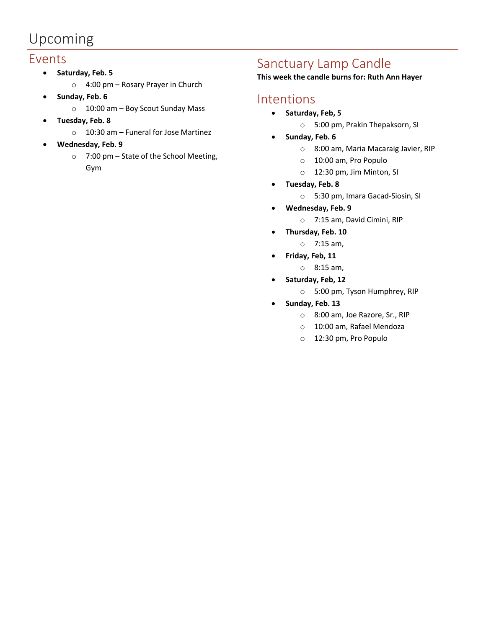# Upcoming

#### Events

- **Saturday, Feb. 5**
	- o 4:00 pm Rosary Prayer in Church
- **Sunday, Feb. 6**
	- o 10:00 am Boy Scout Sunday Mass
- **Tuesday, Feb. 8**
	- o 10:30 am Funeral for Jose Martinez
- **Wednesday, Feb. 9**
	- o 7:00 pm State of the School Meeting, Gym

## Sanctuary Lamp Candle

**This week the candle burns for: Ruth Ann Hayer**

#### Intentions

- **Saturday, Feb, 5**
	- o 5:00 pm, Prakin Thepaksorn, SI
- **Sunday, Feb. 6**
	- o 8:00 am, Maria Macaraig Javier, RIP
	- o 10:00 am, Pro Populo
	- o 12:30 pm, Jim Minton, SI
- **Tuesday, Feb. 8**
	- o 5:30 pm, Imara Gacad-Siosin, SI
- **Wednesday, Feb. 9**
	- o 7:15 am, David Cimini, RIP
- **Thursday, Feb. 10**
	- o 7:15 am,
- **Friday, Feb, 11**
	- o 8:15 am,
- **Saturday, Feb, 12**
	- o 5:00 pm, Tyson Humphrey, RIP
- **Sunday, Feb. 13**
	- o 8:00 am, Joe Razore, Sr., RIP
	- o 10:00 am, Rafael Mendoza
	- o 12:30 pm, Pro Populo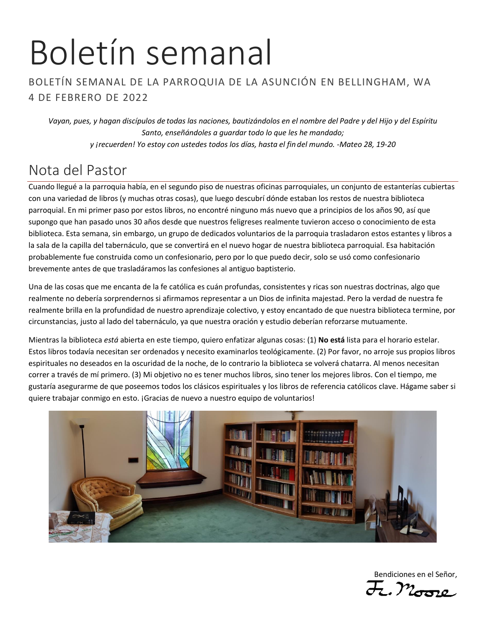# Boletín semanal

#### BOLETÍN SEMANAL DE LA PARROQUIA DE LA ASUNCIÓN EN BELLINGHAM, WA 4 DE FEBRERO DE 2022

*Vayan, pues, y hagan discípulos de todas las naciones, bautizándolos en el nombre del Padre y del Hijo y del Espíritu Santo, enseñándoles a guardar todo lo que les he mandado; y ¡recuerden! Yo estoy con ustedes todos los días, hasta el fin del mundo. -Mateo 28, 19-20*

# Nota del Pastor

Cuando llegué a la parroquia había, en el segundo piso de nuestras oficinas parroquiales, un conjunto de estanterías cubiertas con una variedad de libros (y muchas otras cosas), que luego descubrí dónde estaban los restos de nuestra biblioteca parroquial. En mi primer paso por estos libros, no encontré ninguno más nuevo que a principios de los años 90, así que supongo que han pasado unos 30 años desde que nuestros feligreses realmente tuvieron acceso o conocimiento de esta biblioteca. Esta semana, sin embargo, un grupo de dedicados voluntarios de la parroquia trasladaron estos estantes y libros a la sala de la capilla del tabernáculo, que se convertirá en el nuevo hogar de nuestra biblioteca parroquial. Esa habitación probablemente fue construida como un confesionario, pero por lo que puedo decir, solo se usó como confesionario brevemente antes de que trasladáramos las confesiones al antiguo baptisterio.

Una de las cosas que me encanta de la fe católica es cuán profundas, consistentes y ricas son nuestras doctrinas, algo que realmente no debería sorprendernos si afirmamos representar a un Dios de infinita majestad. Pero la verdad de nuestra fe realmente brilla en la profundidad de nuestro aprendizaje colectivo, y estoy encantado de que nuestra biblioteca termine, por circunstancias, justo al lado del tabernáculo, ya que nuestra oración y estudio deberían reforzarse mutuamente.

Mientras la biblioteca *está* abierta en este tiempo, quiero enfatizar algunas cosas: (1) **No está** lista para el horario estelar. Estos libros todavía necesitan ser ordenados y necesito examinarlos teológicamente. (2) Por favor, no arroje sus propios libros espirituales no deseados en la oscuridad de la noche, de lo contrario la biblioteca se volverá chatarra. Al menos necesitan correr a través de mí primero. (3) Mi objetivo no es tener muchos libros, sino tener los mejores libros. Con el tiempo, me gustaría asegurarme de que poseemos todos los clásicos espirituales y los libros de referencia católicos clave. Hágame saber si quiere trabajar conmigo en esto. ¡Gracias de nuevo a nuestro equipo de voluntarios!



Bendiciones en el Señor,

F. Moore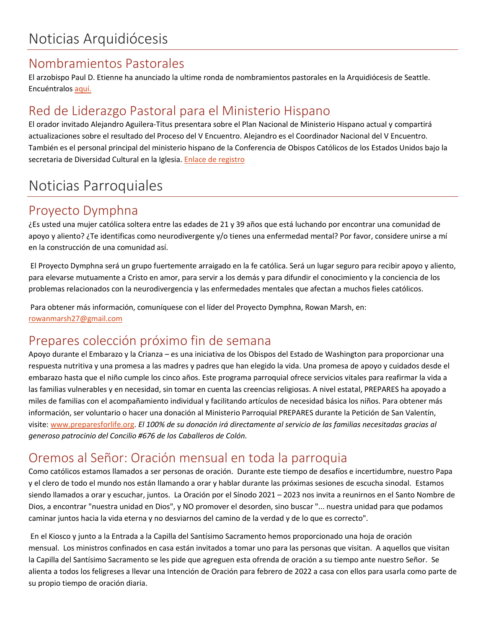#### Nombramientos Pastorales

El arzobispo Paul D. Etienne ha anunciado la ultime ronda de nombramientos pastorales en la Arquidiócesis de Seattle. Encuéntralos [aquí.](https://seattlearch.app.box.com/s/n09escypw9sqino0ukd0gw4kirg3cixg)

# Red de Liderazgo Pastoral para el Ministerio Hispano

El orador invitado Alejandro Aguilera-Titus presentara sobre el Plan Nacional de Ministerio Hispano actual y compartirá actualizaciones sobre el resultado del Proceso del V Encuentro. Alejandro es el Coordinador Nacional del V Encuentro. También es el personal principal del ministerio hispano de la Conferencia de Obispos Católicos de los Estados Unidos bajo la secretaria de Diversidad Cultural en la Iglesia. [Enlace de registro](https://archdioceseofseattle--jlits-formstack-com.translate.goog/forms/pastoral_leadership_network_for_hispanic_ministry_copy?_x_tr_sl=auto&_x_tr_tl=es&_x_tr_hl=en-US)

# Noticias Parroquiales

### Proyecto Dymphna

¿Es usted una mujer católica soltera entre las edades de 21 y 39 años que está luchando por encontrar una comunidad de apoyo y aliento? ¿Te identificas como neurodivergente y/o tienes una enfermedad mental? Por favor, considere unirse a mí en la construcción de una comunidad así.

El Proyecto Dymphna será un grupo fuertemente arraigado en la fe católica. Será un lugar seguro para recibir apoyo y aliento, para elevarse mutuamente a Cristo en amor, para servir a los demás y para difundir el conocimiento y la conciencia de los problemas relacionados con la neurodivergencia y las enfermedades mentales que afectan a muchos fieles católicos.

Para obtener más información, comuníquese con el líder del Proyecto Dymphna, Rowan Marsh, en: [rowanmarsh27@gmail.com](mailto:rowanmarsh27@gmail.com)

# Prepares colección próximo fin de semana

Apoyo durante el Embarazo y la Crianza – es una iniciativa de los Obispos del Estado de Washington para proporcionar una respuesta nutritiva y una promesa a las madres y padres que han elegido la vida. Una promesa de apoyo y cuidados desde el embarazo hasta que el niño cumple los cinco años. Este programa parroquial ofrece servicios vitales para reafirmar la vida a las familias vulnerables y en necesidad, sin tomar en cuenta las creencias religiosas. A nivel estatal, PREPARES ha apoyado a miles de familias con el acompañamiento individual y facilitando artículos de necesidad básica los niños. Para obtener más información, ser voluntario o hacer una donación al Ministerio Parroquial PREPARES durante la Petición de San Valentín, visite[: www.preparesforlife.org.](http://www.preparesforlife.org/) *El 100% de su donación irá directamente al servicio de las familias necesitadas gracias al generoso patrocinio del Concilio #676 de los Caballeros de Colón.*

# Oremos al Señor: Oración mensual en toda la parroquia

Como católicos estamos llamados a ser personas de oración. Durante este tiempo de desafíos e incertidumbre, nuestro Papa y el clero de todo el mundo nos están llamando a orar y hablar durante las próximas sesiones de escucha sinodal. Estamos siendo llamados a orar y escuchar, juntos. La Oración por el Sínodo 2021 – 2023 nos invita a reunirnos en el Santo Nombre de Dios, a encontrar "nuestra unidad en Dios", y NO promover el desorden, sino buscar "... nuestra unidad para que podamos caminar juntos hacia la vida eterna y no desviarnos del camino de la verdad y de lo que es correcto".

En el Kiosco y junto a la Entrada a la Capilla del Santísimo Sacramento hemos proporcionado una hoja de oración mensual. Los ministros confinados en casa están invitados a tomar uno para las personas que visitan. A aquellos que visitan la Capilla del Santísimo Sacramento se les pide que agreguen esta ofrenda de oración a su tiempo ante nuestro Señor. Se alienta a todos los feligreses a llevar una Intención de Oración para febrero de 2022 a casa con ellos para usarla como parte de su propio tiempo de oración diaria.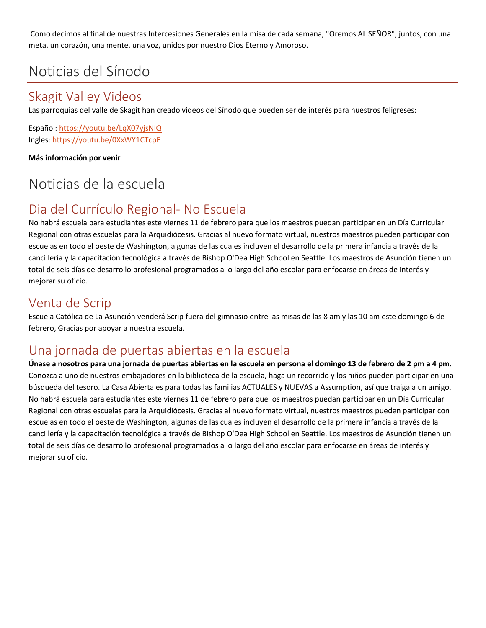Como decimos al final de nuestras Intercesiones Generales en la misa de cada semana, "Oremos AL SEÑOR", juntos, con una meta, un corazón, una mente, una voz, unidos por nuestro Dios Eterno y Amoroso.

# Noticias del Sínodo

## Skagit Valley Videos

Las parroquias del valle de Skagit han creado videos del Sínodo que pueden ser de interés para nuestros feligreses:

Español: <https://youtu.be/LqX07yjsNIQ> Ingles: [https://youtu.be/0XxWY1CTcpE](https://na01.safelinks.protection.outlook.com/?url=https%3A%2F%2Fyoutu.be%2F0XxWY1CTcpE&data=04%7C01%7C%7C21b4517a64e944a27cde08d9e42afd9f%7C84df9e7fe9f640afb435aaaaaaaaaaaa%7C1%7C0%7C637791695566801075%7CUnknown%7CTWFpbGZsb3d8eyJWIjoiMC4wLjAwMDAiLCJQIjoiV2luMzIiLCJBTiI6Ik1haWwiLCJXVCI6Mn0%3D%7C3000&sdata=utrq8MaZXs7mW82I388aWfAat4Cwncf9Mpz4q%2B2yUq8%3D&reserved=0)

**Más información por venir**

# Noticias de la escuela

# Dia del Currículo Regional- No Escuela

No habrá escuela para estudiantes este viernes 11 de febrero para que los maestros puedan participar en un Día Curricular Regional con otras escuelas para la Arquidiócesis. Gracias al nuevo formato virtual, nuestros maestros pueden participar con escuelas en todo el oeste de Washington, algunas de las cuales incluyen el desarrollo de la primera infancia a través de la cancillería y la capacitación tecnológica a través de Bishop O'Dea High School en Seattle. Los maestros de Asunción tienen un total de seis días de desarrollo profesional programados a lo largo del año escolar para enfocarse en áreas de interés y mejorar su oficio.

#### Venta de Scrip

Escuela Católica de La Asunción venderá Scrip fuera del gimnasio entre las misas de las 8 am y las 10 am este domingo 6 de febrero, Gracias por apoyar a nuestra escuela.

## Una jornada de puertas abiertas en la escuela

**Únase a nosotros para una jornada de puertas abiertas en la escuela en persona el domingo 13 de febrero de 2 pm a 4 pm.** Conozca a uno de nuestros embajadores en la biblioteca de la escuela, haga un recorrido y los niños pueden participar en una búsqueda del tesoro. La Casa Abierta es para todas las familias ACTUALES y NUEVAS a Assumption, así que traiga a un amigo. No habrá escuela para estudiantes este viernes 11 de febrero para que los maestros puedan participar en un Día Curricular Regional con otras escuelas para la Arquidiócesis. Gracias al nuevo formato virtual, nuestros maestros pueden participar con escuelas en todo el oeste de Washington, algunas de las cuales incluyen el desarrollo de la primera infancia a través de la cancillería y la capacitación tecnológica a través de Bishop O'Dea High School en Seattle. Los maestros de Asunción tienen un total de seis días de desarrollo profesional programados a lo largo del año escolar para enfocarse en áreas de interés y mejorar su oficio.